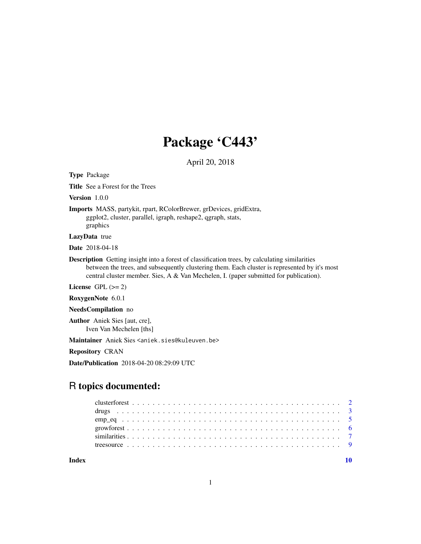# Package 'C443'

April 20, 2018

Type Package

Title See a Forest for the Trees

Version 1.0.0

Imports MASS, partykit, rpart, RColorBrewer, grDevices, gridExtra, ggplot2, cluster, parallel, igraph, reshape2, qgraph, stats, graphics

LazyData true

Date 2018-04-18

Description Getting insight into a forest of classification trees, by calculating similarities between the trees, and subsequently clustering them. Each cluster is represented by it's most central cluster member. Sies, A & Van Mechelen, I. (paper submitted for publication).

License GPL  $(>= 2)$ 

RoxygenNote 6.0.1

NeedsCompilation no

Author Aniek Sies [aut, cre], Iven Van Mechelen [ths]

Maintainer Aniek Sies <aniek.sies@kuleuven.be>

Repository CRAN

Date/Publication 2018-04-20 08:29:09 UTC

# R topics documented:

 $\blacksquare$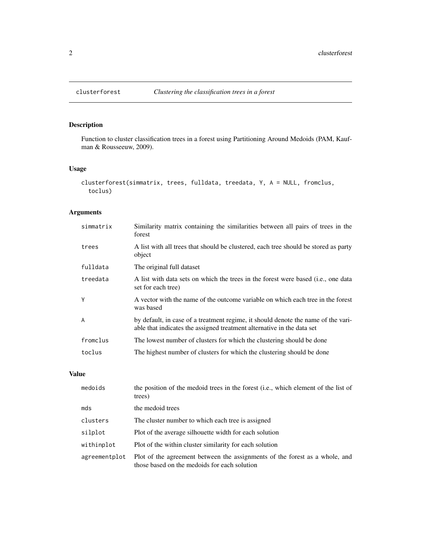# Description

Function to cluster classification trees in a forest using Partitioning Around Medoids (PAM, Kaufman & Rousseeuw, 2009).

# Usage

```
clusterforest(simmatrix, trees, fulldata, treedata, Y, A = NULL, fromclus,
  toclus)
```
# Arguments

| simmatrix      | Similarity matrix containing the similarities between all pairs of trees in the<br>forest                                                                   |
|----------------|-------------------------------------------------------------------------------------------------------------------------------------------------------------|
| trees          | A list with all trees that should be clustered, each tree should be stored as party<br>object                                                               |
| fulldata       | The original full dataset                                                                                                                                   |
| treedata       | A list with data sets on which the trees in the forest were based (i.e., one data<br>set for each tree)                                                     |
| Y              | A vector with the name of the outcome variable on which each tree in the forest<br>was based                                                                |
| $\overline{A}$ | by default, in case of a treatment regime, it should denote the name of the vari-<br>able that indicates the assigned treatment alternative in the data set |
| fromclus       | The lowest number of clusters for which the clustering should be done                                                                                       |
| toclus         | The highest number of clusters for which the clustering should be done                                                                                      |

# Value

| medoids       | the position of the medoid trees in the forest (i.e., which element of the list of<br>trees)                                |
|---------------|-----------------------------------------------------------------------------------------------------------------------------|
| mds           | the medoid trees                                                                                                            |
| clusters      | The cluster number to which each tree is assigned                                                                           |
| silplot       | Plot of the average silhouette width for each solution                                                                      |
| withinplot    | Plot of the within cluster similarity for each solution                                                                     |
| agreementplot | Plot of the agreement between the assignments of the forest as a whole, and<br>those based on the medoids for each solution |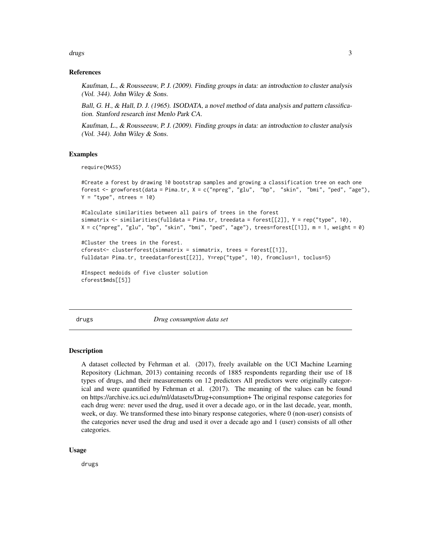<span id="page-2-0"></span>drugs 3 and 3 and 3 and 3 and 3 and 3 and 3 and 3 and 3 and 3 and 3 and 3 and 3 and 3 and 3 and 3 and 3 and 3 and 3 and 3 and 3 and 3 and 3 and 3 and 3 and 3 and 3 and 3 and 3 and 3 and 3 and 3 and 3 and 3 and 3 and 3 and

# References

Kaufman, L., & Rousseeuw, P. J. (2009). Finding groups in data: an introduction to cluster analysis (Vol. 344). John Wiley & Sons.

Ball, G. H., & Hall, D. J. (1965). ISODATA, a novel method of data analysis and pattern classification. Stanford research inst Menlo Park CA.

Kaufman, L., & Rousseeuw, P. J. (2009). Finding groups in data: an introduction to cluster analysis (Vol. 344). John Wiley & Sons.

# Examples

require(MASS)

```
#Create a forest by drawing 10 bootstrap samples and growing a classification tree on each one
forest <- growforest(data = Pima.tr, X = c("npreg", "glu", "bp", "skin", "bmi", "ped", "age"),
Y = "type", ntrees = 10)
```

```
#Calculate similarities between all pairs of trees in the forest
simmatrix <- similarities(fulldata = Pima.tr, treedata = forest[[2]], Y = rep("type", 10),
X = c("npreg", "glu", "bp", "skin", "bmi", "ped", "age"), trees=forest[[1]], m = 1, weight = 0)
```

```
#Cluster the trees in the forest.
cforest<- clusterforest(simmatrix = simmatrix, trees = forest[[1]],
fulldata= Pima.tr, treedata=forest[[2]], Y=rep("type", 10), fromclus=1, toclus=5)
```

```
#Inspect medoids of five cluster solution
cforest$mds[[5]]
```
drugs *Drug consumption data set*

# **Description**

A dataset collected by Fehrman et al. (2017), freely available on the UCI Machine Learning Repository (Lichman, 2013) containing records of 1885 respondents regarding their use of 18 types of drugs, and their measurements on 12 predictors All predictors were originally categorical and were quantified by Fehrman et al. (2017). The meaning of the values can be found on https://archive.ics.uci.edu/ml/datasets/Drug+consumption+ The original response categories for each drug were: never used the drug, used it over a decade ago, or in the last decade, year, month, week, or day. We transformed these into binary response categories, where 0 (non-user) consists of the categories never used the drug and used it over a decade ago and 1 (user) consists of all other categories.

#### Usage

drugs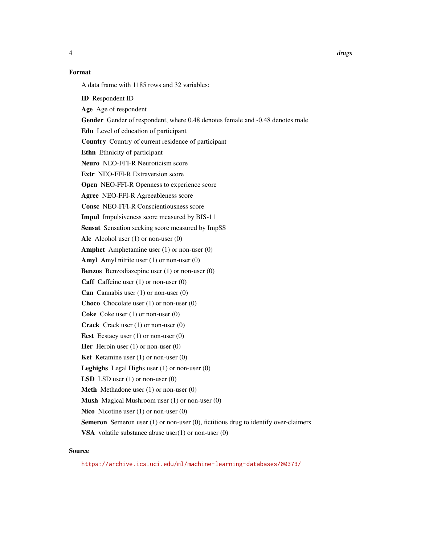# Format

A data frame with 1185 rows and 32 variables:

ID Respondent ID

Age Age of respondent

Gender Gender of respondent, where 0.48 denotes female and -0.48 denotes male

Edu Level of education of participant

Country Country of current residence of participant

Ethn Ethnicity of participant

Neuro NEO-FFI-R Neuroticism score

Extr NEO-FFI-R Extraversion score

Open NEO-FFI-R Openness to experience score

Agree NEO-FFI-R Agreeableness score

Consc NEO-FFI-R Conscientiousness score

Impul Impulsiveness score measured by BIS-11

Sensat Sensation seeking score measured by ImpSS

Alc Alcohol user  $(1)$  or non-user  $(0)$ 

Amphet Amphetamine user (1) or non-user (0)

Amyl Amyl nitrite user (1) or non-user (0)

Benzos Benzodiazepine user (1) or non-user (0)

Caff Caffeine user (1) or non-user (0)

**Can** Cannabis user  $(1)$  or non-user  $(0)$ 

Choco Chocolate user (1) or non-user (0)

Coke Coke user (1) or non-user (0)

Crack Crack user (1) or non-user (0)

Ecst Ecstacy user (1) or non-user (0)

Her Heroin user  $(1)$  or non-user  $(0)$ 

Ket Ketamine user (1) or non-user (0)

Leghighs Legal Highs user (1) or non-user (0)

**LSD** LSD user  $(1)$  or non-user  $(0)$ 

Meth Methadone user (1) or non-user (0)

Mush Magical Mushroom user (1) or non-user (0)

Nico Nicotine user (1) or non-user (0)

Semeron Semeron user (1) or non-user (0), fictitious drug to identify over-claimers

**VSA** volatile substance abuse user $(1)$  or non-user  $(0)$ 

#### Source

<https://archive.ics.uci.edu/ml/machine-learning-databases/00373/>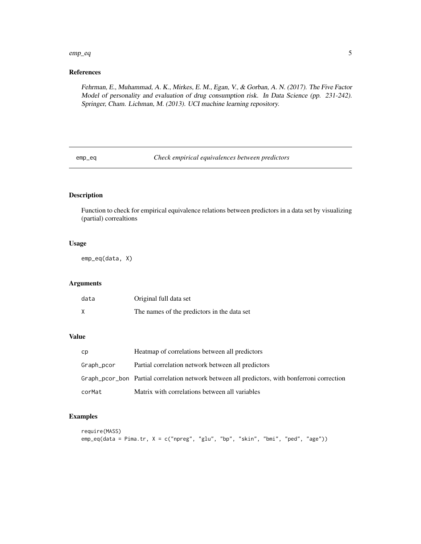#### <span id="page-4-0"></span> $emp\_eq$  5

# References

Fehrman, E., Muhammad, A. K., Mirkes, E. M., Egan, V., & Gorban, A. N. (2017). The Five Factor Model of personality and evaluation of drug consumption risk. In Data Science (pp. 231-242). Springer, Cham. Lichman, M. (2013). UCI machine learning repository.

emp\_eq *Check empirical equivalences between predictors*

# Description

Function to check for empirical equivalence relations between predictors in a data set by visualizing (partial) correaltions

# Usage

emp\_eq(data, X)

# Arguments

| data | Original full data set                      |
|------|---------------------------------------------|
|      | The names of the predictors in the data set |

# Value

| cp         | Heatmap of correlations between all predictors                                                |
|------------|-----------------------------------------------------------------------------------------------|
| Graph_pcor | Partial correlation network between all predictors                                            |
|            | Graph pcor bon Partial correlation network between all predictors, with bonferroni correction |
| corMat     | Matrix with correlations between all variables                                                |

# Examples

```
require(MASS)
emp_eq(data = Pima.tr, X = c("npreg", "glu", "bp", "skin", "bmi", "ped", "age"))
```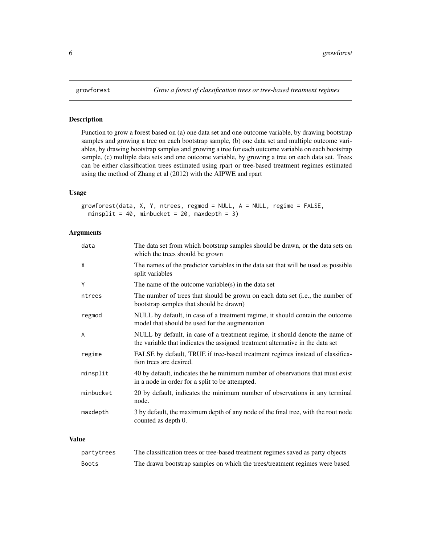# Description

Function to grow a forest based on (a) one data set and one outcome variable, by drawing bootstrap samples and growing a tree on each bootstrap sample, (b) one data set and multiple outcome variables, by drawing bootstrap samples and growing a tree for each outcome variable on each bootstrap sample, (c) multiple data sets and one outcome variable, by growing a tree on each data set. Trees can be either classification trees estimated using rpart or tree-based treatment regimes estimated using the method of Zhang et al (2012) with the AIPWE and rpart

# Usage

```
growforest(data, X, Y, ntrees, regmod = NULL, A = NULL, regime = FALSE,
 minsplit = 40, minbucket = 20, maxdepth = 3)
```
# Arguments

| The data set from which bootstrap samples should be drawn, or the data sets on<br>which the trees should be grown                                              |
|----------------------------------------------------------------------------------------------------------------------------------------------------------------|
| The names of the predictor variables in the data set that will be used as possible<br>split variables                                                          |
| The name of the outcome variable(s) in the data set                                                                                                            |
| The number of trees that should be grown on each data set ( <i>i.e.</i> , the number of<br>bootstrap samples that should be drawn)                             |
| NULL by default, in case of a treatment regime, it should contain the outcome<br>model that should be used for the augmentation                                |
| NULL by default, in case of a treatment regime, it should denote the name of<br>the variable that indicates the assigned treatment alternative in the data set |
| FALSE by default, TRUE if tree-based treatment regimes instead of classifica-<br>tion trees are desired.                                                       |
| 40 by default, indicates the he minimum number of observations that must exist<br>in a node in order for a split to be attempted.                              |
| 20 by default, indicates the minimum number of observations in any terminal<br>node.                                                                           |
| 3 by default, the maximum depth of any node of the final tree, with the root node<br>counted as depth 0.                                                       |
|                                                                                                                                                                |

# Value

| partytrees | The classification trees or tree-based treatment regimes saved as party objects |
|------------|---------------------------------------------------------------------------------|
| Boots      | The drawn bootstrap samples on which the trees/treatment regimes were based     |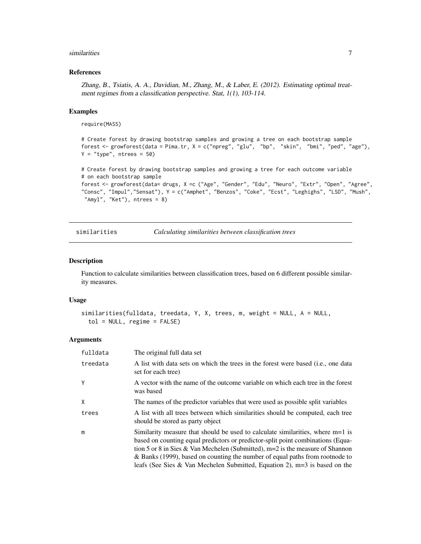#### <span id="page-6-0"></span>similarities **7**

#### References

Zhang, B., Tsiatis, A. A., Davidian, M., Zhang, M., & Laber, E. (2012). Estimating optimal treatment regimes from a classification perspective. Stat, 1(1), 103-114.

#### Examples

require(MASS)

```
# Create forest by drawing bootstrap samples and growing a tree on each bootstrap sample
forest <- growforest(data = Pima.tr, X = c("npreg", "glu", "bp", "skin", "bmi", "ped", "age"),
Y = "type", ntrees = 50)
```
# Create forest by drawing bootstrap samples and growing a tree for each outcome variable # on each bootstrap sample forest <- growforest(data= drugs, X =c ("Age", "Gender", "Edu", "Neuro", "Extr", "Open", "Agree", "Consc", "Impul","Sensat"), Y = c("Amphet", "Benzos", "Coke", "Ecst", "Leghighs", "LSD", "Mush", "Amyl", "Ket"), ntrees = 8)

similarities *Calculating similarities between classification trees*

#### Description

Function to calculate similarities between classification trees, based on 6 different possible similarity measures.

#### Usage

```
similarities(fulldata, treedata, Y, X, trees, m, weight = NULL, A = NULL,
  tol = NULL, regime = FALSE)
```
# Arguments

| fulldata | The original full data set                                                                                                                                                                                                                                                                                                                                                                                           |
|----------|----------------------------------------------------------------------------------------------------------------------------------------------------------------------------------------------------------------------------------------------------------------------------------------------------------------------------------------------------------------------------------------------------------------------|
| treedata | A list with data sets on which the trees in the forest were based (i.e., one data<br>set for each tree)                                                                                                                                                                                                                                                                                                              |
| Y        | A vector with the name of the outcome variable on which each tree in the forest<br>was based                                                                                                                                                                                                                                                                                                                         |
| X        | The names of the predictor variables that were used as possible split variables                                                                                                                                                                                                                                                                                                                                      |
| trees    | A list with all trees between which similarities should be computed, each tree<br>should be stored as party object                                                                                                                                                                                                                                                                                                   |
| m        | Similarity measure that should be used to calculate similarities, where m=1 is<br>based on counting equal predictors or predictor-split point combinations (Equa-<br>tion 5 or 8 in Sies & Van Mechelen (Submitted), $m=2$ is the measure of Shannon<br>& Banks (1999), based on counting the number of equal paths from rootnode to<br>leafs (See Sies & Van Mechelen Submitted, Equation 2), $m=3$ is based on the |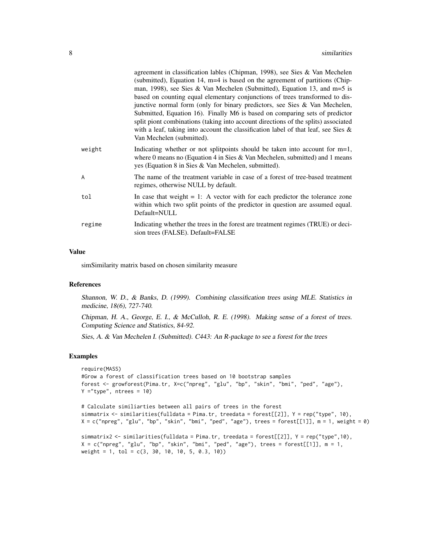|        | agreement in classification lables (Chipman, 1998), see Sies & Van Mechelen<br>(submitted), Equation 14, m=4 is based on the agreement of partitions (Chip-<br>man, 1998), see Sies & Van Mechelen (Submitted), Equation 13, and $m=5$ is<br>based on counting equal elementary conjunctions of trees transformed to dis-<br>junctive normal form (only for binary predictors, see Sies $& Van Mechelen$ ,<br>Submitted, Equation 16). Finally M6 is based on comparing sets of predictor<br>split piont combinations (taking into account directions of the splits) associated<br>with a leaf, taking into account the classification label of that leaf, see Sies $\&$<br>Van Mechelen (submitted). |
|--------|-------------------------------------------------------------------------------------------------------------------------------------------------------------------------------------------------------------------------------------------------------------------------------------------------------------------------------------------------------------------------------------------------------------------------------------------------------------------------------------------------------------------------------------------------------------------------------------------------------------------------------------------------------------------------------------------------------|
| weight | Indicating whether or not split points should be taken into account for $m=1$ ,<br>where 0 means no (Equation 4 in Sies & Van Mechelen, submitted) and 1 means<br>yes (Equation 8 in Sies & Van Mechelen, submitted).                                                                                                                                                                                                                                                                                                                                                                                                                                                                                 |
| A      | The name of the treatment variable in case of a forest of tree-based treatment<br>regimes, otherwise NULL by default.                                                                                                                                                                                                                                                                                                                                                                                                                                                                                                                                                                                 |
| tol    | In case that weight $= 1$ : A vector with for each predictor the tolerance zone<br>within which two split points of the predictor in question are assumed equal.<br>Default=NULL                                                                                                                                                                                                                                                                                                                                                                                                                                                                                                                      |
| regime | Indicating whether the trees in the forest are treatment regimes (TRUE) or deci-<br>sion trees (FALSE). Default=FALSE                                                                                                                                                                                                                                                                                                                                                                                                                                                                                                                                                                                 |
|        |                                                                                                                                                                                                                                                                                                                                                                                                                                                                                                                                                                                                                                                                                                       |

#### Value

simSimilarity matrix based on chosen similarity measure

#### References

Shannon, W. D., & Banks, D. (1999). Combining classification trees using MLE. Statistics in medicine, 18(6), 727-740.

Chipman, H. A., George, E. I., & McCulloh, R. E. (1998). Making sense of a forest of trees. Computing Science and Statistics, 84-92.

Sies, A. & Van Mechelen I. (Submitted). C443: An R-package to see a forest for the trees

#### Examples

```
require(MASS)
#Grow a forest of classification trees based on 10 bootstrap samples
forest <- growforest(Pima.tr, X=c("npreg", "glu", "bp", "skin", "bmi", "ped", "age"),
Y = "type", ntrees = 10)
```

```
# Calculate similiarties between all pairs of trees in the forest
simmatrix <- similarities(fulldata = Pima.tr, treedata = forest[[2]], Y = rep("type", 10),
X = c("npreg", "glu", "bp", "skin", "bmi", "ped", "age"), trees = forest[[1]], m = 1, weight = 0)
```

```
simmatrix2 <- similarities(fulldata = Pima.tr, treedata = forest[[2]], Y = rep("type",10),
X = c("npreg", "glu", "bp", "skin", "bmi", "ped", "age"), trees = forest[[1]], m = 1,weight = 1, tol = c(3, 30, 10, 10, 5, 0.3, 10))
```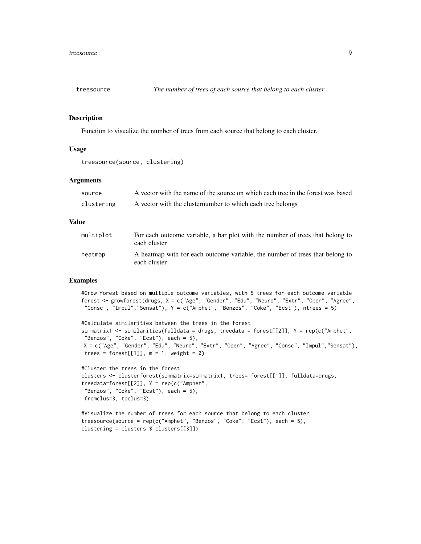<span id="page-8-0"></span>

#### Description

Function to visualize the number of trees from each source that belong to each cluster.

# Usage

```
treesource(source, clustering)
```
#### Arguments

| source     | A vector with the name of the source on which each tree in the forest was based |
|------------|---------------------------------------------------------------------------------|
| clustering | A vector with the cluster number to which each tree belongs                     |

## Value

| multiplot | For each outcome variable, a bar plot with the number of trees that belong to<br>each cluster |
|-----------|-----------------------------------------------------------------------------------------------|
| heatmap   | A heatmap with for each outcome variable, the number of trees that belong to<br>each cluster  |

#### Examples

```
#Grow forest based on multiple outcome variables, with 5 trees for each outcome variable
forest <- growforest(drugs, X = c("Age", "Gender", "Edu", "Neuro", "Extr", "Open", "Agree",
"Consc", "Impul","Sensat"), Y = c("Amphet", "Benzos", "Coke", "Ecst"), ntrees = 5)
```

```
#Calculate similarities between the trees in the forest
simmatrix1 <- similarities(fulldata = drugs, treedata = forest[[2]], Y = rep(c("Amphet",
"Benzos", "Coke", "Ecst"), each = 5),
X = c("Age", "Gender", "Edu", "Neuro", "Extr", "Open", "Agree", "Consc", "Impul","Sensat"),
trees = forest[[1]], m = 1, weight = 0)
```

```
#Cluster the trees in the forest
clusters <- clusterforest(simmatrix=simmatrix1, trees= forest[[1]], fulldata=drugs,
treedata=forest[[2]], Y = rep(c("Amphet",
 "Benzos", "Coke", "Ecst"), each = 5),
 fromclus=3, toclus=3)
```

```
#Visualize the number of trees for each source that belong to each cluster
treesource(source = rep(c("Amphet", "Benzos", "Coke", "Ecst"), each = 5),
clustering = clusters $ clusters[[3]])
```